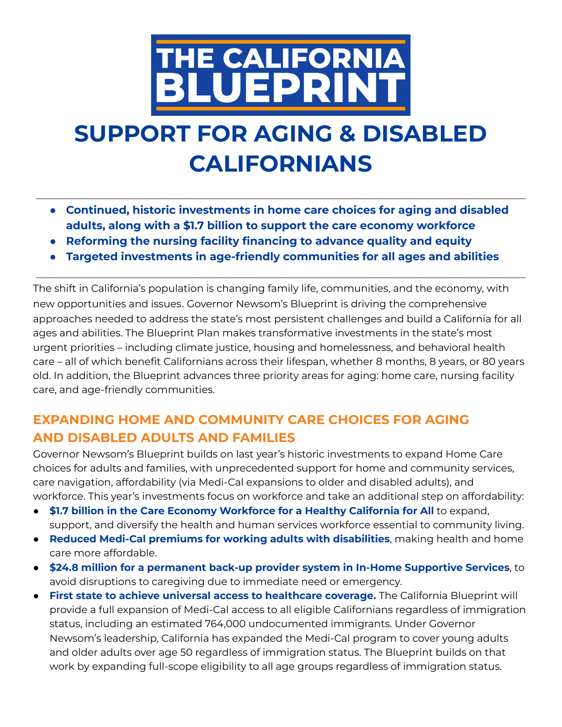

# **SUPPORT FOR AGING & DISABLED CALIFORNIANS**

- **● Continued, historic investments in home care choices for aging and disabled adults, along with a \$1.7 billion to support the care economy workforce**
- **● Reforming the nursing facility financing to advance quality and equity**
- **● Targeted investments in age-friendly communities for all ages and abilities**

The shift in California's population is changing family life, communities, and the economy, with new opportunities and issues. Governor Newsom's Blueprint is driving the comprehensive approaches needed to address the state's most persistent challenges and build a California for all ages and abilities. The Blueprint Plan makes transformative investments in the state's most urgent priorities – including climate justice, housing and homelessness, and behavioral health care – all of which benefit Californians across their lifespan, whether 8 months, 8 years, or 80 years old. In addition, the Blueprint advances three priority areas for aging: home care, nursing facility care, and age-friendly communities.

## **EXPANDING HOME AND COMMUNITY CARE CHOICES FOR AGING AND DISABLED ADULTS AND FAMILIES**

Governor Newsom's Blueprint builds on last year's historic investments to expand Home Care choices for adults and families, with unprecedented support for home and community services, care navigation, affordability (via Medi-Cal expansions to older and disabled adults), and workforce. This year's investments focus on workforce and take an additional step on affordability:

- **\$1.7 billion in the Care Economy Workforce for a Healthy California for All** to expand, support, and diversify the health and human services workforce essential to community living.
- **Reduced Medi-Cal premiums for working adults with disabilities**, making health and home care more affordable.
- **\$24.8 million for a permanent back-up provider system in In-Home Supportive Services**, to avoid disruptions to caregiving due to immediate need or emergency.
- **First state to achieve universal access to healthcare coverage.** The California Blueprint will provide a full expansion of Medi-Cal access to all eligible Californians regardless of immigration status, including an estimated 764,000 undocumented immigrants. Under Governor Newsom's leadership, California has expanded the Medi-Cal program to cover young adults and older adults over age 50 regardless of immigration status. The Blueprint builds on that work by expanding full-scope eligibility to all age groups regardless of immigration status.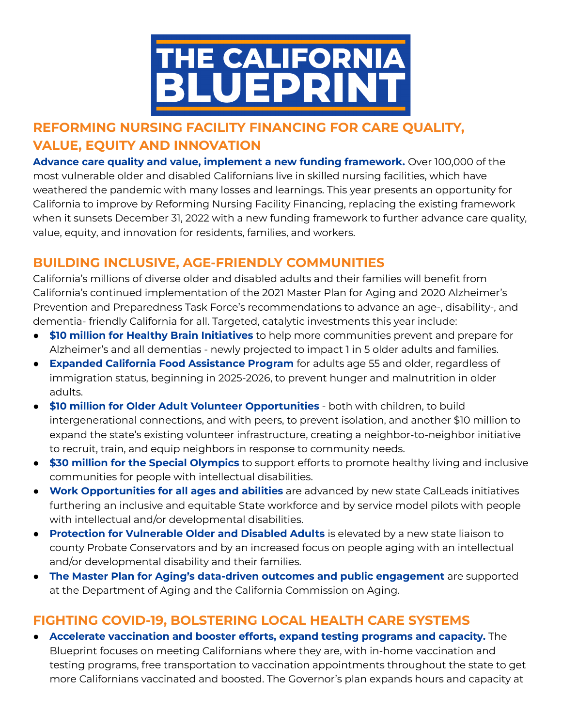

## **REFORMING NURSING FACILITY FINANCING FOR CARE QUALITY, VALUE, EQUITY AND INNOVATION**

**Advance care quality and value, implement a new funding framework.** Over 100,000 of the most vulnerable older and disabled Californians live in skilled nursing facilities, which have weathered the pandemic with many losses and learnings. This year presents an opportunity for California to improve by Reforming Nursing Facility Financing, replacing the existing framework when it sunsets December 31, 2022 with a new funding framework to further advance care quality, value, equity, and innovation for residents, families, and workers.

### **BUILDING INCLUSIVE, AGE-FRIENDLY COMMUNITIES**

California's millions of diverse older and disabled adults and their families will benefit from California's continued implementation of the 2021 Master Plan for Aging and 2020 Alzheimer's Prevention and Preparedness Task Force's recommendations to advance an age-, disability-, and dementia- friendly California for all. Targeted, catalytic investments this year include:

- **\$10 million for Healthy Brain Initiatives** to help more communities prevent and prepare for Alzheimer's and all dementias - newly projected to impact 1 in 5 older adults and families.
- **Expanded California Food Assistance Program** for adults age 55 and older, regardless of immigration status, beginning in 2025-2026, to prevent hunger and malnutrition in older adults.
- **\$10 million for Older Adult Volunteer Opportunities** both with children, to build intergenerational connections, and with peers, to prevent isolation, and another \$10 million to expand the state's existing volunteer infrastructure, creating a neighbor-to-neighbor initiative to recruit, train, and equip neighbors in response to community needs.
- **\$30 million for the Special Olympics** to support efforts to promote healthy living and inclusive communities for people with intellectual disabilities.
- **Work Opportunities for all ages and abilities** are advanced by new state CalLeads initiatives furthering an inclusive and equitable State workforce and by service model pilots with people with intellectual and/or developmental disabilities.
- **Protection for Vulnerable Older and Disabled Adults** is elevated by a new state liaison to county Probate Conservators and by an increased focus on people aging with an intellectual and/or developmental disability and their families.
- **The Master Plan for Aging's data-driven outcomes and public engagement** are supported at the Department of Aging and the California Commission on Aging.

### **FIGHTING COVID-19, BOLSTERING LOCAL HEALTH CARE SYSTEMS**

● **Accelerate vaccination and booster efforts, expand testing programs and capacity.** The Blueprint focuses on meeting Californians where they are, with in-home vaccination and testing programs, free transportation to vaccination appointments throughout the state to get more Californians vaccinated and boosted. The Governor's plan expands hours and capacity at